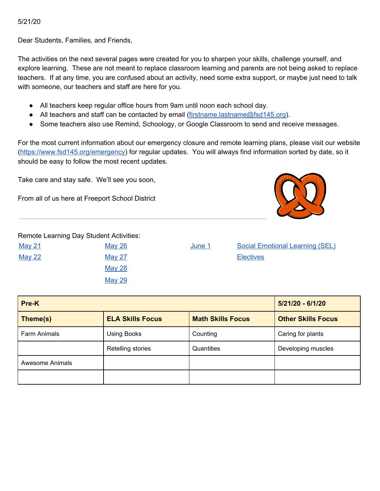5/21/20

Dear Students, Families, and Friends,

The activities on the next several pages were created for you to sharpen your skills, challenge yourself, and explore learning. These are not meant to replace classroom learning and parents are not being asked to replace teachers. If at any time, you are confused about an activity, need some extra support, or maybe just need to talk with someone, our teachers and staff are here for you.

- All teachers keep regular office hours from 9am until noon each school day.
- All teachers and staff can be contacted by email ([firstname.lastname@fsd145.org](mailto:firstname.lastname@fsd145.org)).
- Some teachers also use Remind, Schoology, or Google Classroom to send and receive messages.

For the most current information about our emergency closure and remote learning plans, please visit our website [\(https://www.fsd145.org/emergency\)](https://www.fsd145.org/emergency) for regular updates. You will always find information sorted by date, so it should be easy to follow the most recent updates.

Take care and stay safe. We'll see you soon,

From all of us here at Freeport School District



Remote Learning Day Student Activities:

| <u>May 21</u> |  |
|---------------|--|
| <u>May 22</u> |  |
|               |  |
|               |  |

[May](#page-5-0) 28 [May](#page-6-0) 29

[May](#page-3-0) 26 May 26 **[June](#page-7-0) 1** Social Emotional Learning (SEL) [May](#page-4-0) 27 **[Electives](#page-9-0)** 

| Pre-K           | $5/21/20 - 6/1/20$      |                          |                           |
|-----------------|-------------------------|--------------------------|---------------------------|
| Theme(s)        | <b>ELA Skills Focus</b> | <b>Math Skills Focus</b> | <b>Other Skills Focus</b> |
| Farm Animals    | <b>Using Books</b>      | Counting                 | Caring for plants         |
|                 | Retelling stories       | Quantities               | Developing muscles        |
| Awesome Animals |                         |                          |                           |
|                 |                         |                          |                           |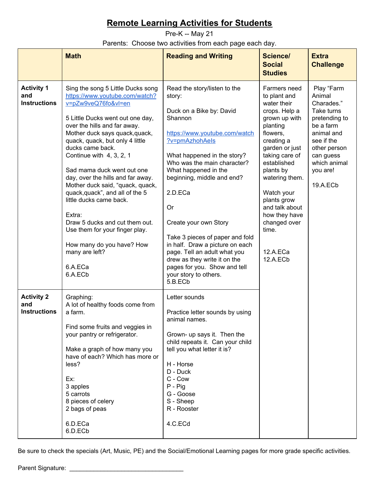<span id="page-1-0"></span>Pre-K -- May 21

Parents: Choose two activities from each page each day.

|                                                 | <b>Math</b>                                                                                                                                                                                                                                                                                                                                                                                                                                                                                                                                                                                                 | <b>Reading and Writing</b>                                                                                                                                                                                                                                                                                                                                                                                                                                                                                      | Science/<br><b>Social</b><br><b>Studies</b>                                                                                                                                                                                                                                                                            | <b>Extra</b><br><b>Challenge</b>                                                                                                                                                            |
|-------------------------------------------------|-------------------------------------------------------------------------------------------------------------------------------------------------------------------------------------------------------------------------------------------------------------------------------------------------------------------------------------------------------------------------------------------------------------------------------------------------------------------------------------------------------------------------------------------------------------------------------------------------------------|-----------------------------------------------------------------------------------------------------------------------------------------------------------------------------------------------------------------------------------------------------------------------------------------------------------------------------------------------------------------------------------------------------------------------------------------------------------------------------------------------------------------|------------------------------------------------------------------------------------------------------------------------------------------------------------------------------------------------------------------------------------------------------------------------------------------------------------------------|---------------------------------------------------------------------------------------------------------------------------------------------------------------------------------------------|
| <b>Activity 1</b><br>and<br><b>Instructions</b> | Sing the song 5 Little Ducks song<br>https://www.youtube.com/watch?<br>v=pZw9veQ76fo&vl=en<br>5 Little Ducks went out one day,<br>over the hills and far away.<br>Mother duck says quack, quack,<br>quack, quack, but only 4 little<br>ducks came back.<br>Continue with 4, 3, 2, 1<br>Sad mama duck went out one<br>day, over the hills and far away.<br>Mother duck said, "quack, quack,<br>quack, quack", and all of the 5<br>little ducks came back.<br>Extra:<br>Draw 5 ducks and cut them out.<br>Use them for your finger play.<br>How many do you have? How<br>many are left?<br>6.A.ECa<br>6.A.ECb | Read the story/listen to the<br>story:<br>Duck on a Bike by: David<br>Shannon<br>https://www.youtube.com/watch<br>?v=pmAzhohAels<br>What happened in the story?<br>Who was the main character?<br>What happened in the<br>beginning, middle and end?<br>2.D.ECa<br><b>Or</b><br>Create your own Story<br>Take 3 pieces of paper and fold<br>in half. Draw a picture on each<br>page. Tell an adult what you<br>drew as they write it on the<br>pages for you. Show and tell<br>your story to others.<br>5.B.ECb | Farmers need<br>to plant and<br>water their<br>crops. Help a<br>grown up with<br>planting<br>flowers.<br>creating a<br>garden or just<br>taking care of<br>established<br>plants by<br>watering them.<br>Watch your<br>plants grow<br>and talk about<br>how they have<br>changed over<br>time.<br>12.A.ECa<br>12.A.ECb | Play "Farm<br>Animal<br>Charades."<br>Take turns<br>pretending to<br>be a farm<br>animal and<br>see if the<br>other person<br>can guess<br>which animal<br>you are!<br>19.A.EC <sub>b</sub> |
| <b>Activity 2</b><br>and<br><b>Instructions</b> | Graphing:<br>A lot of healthy foods come from<br>a farm.<br>Find some fruits and veggies in<br>your pantry or refrigerator.<br>Make a graph of how many you<br>have of each? Which has more or<br>less?<br>Ex:<br>3 apples<br>5 carrots<br>8 pieces of celery<br>2 bags of peas<br>6.D.ECa<br>6.D.ECb                                                                                                                                                                                                                                                                                                       | Letter sounds<br>Practice letter sounds by using<br>animal names.<br>Grown- up says it. Then the<br>child repeats it. Can your child<br>tell you what letter it is?<br>H - Horse<br>D - Duck<br>C - Cow<br>$P -$ Pig<br>G - Goose<br>S - Sheep<br>R - Rooster<br>4.C.ECd                                                                                                                                                                                                                                        |                                                                                                                                                                                                                                                                                                                        |                                                                                                                                                                                             |

Be sure to check the specials (Art, Music, PE) and the Social/Emotional Learning pages for more grade specific activities.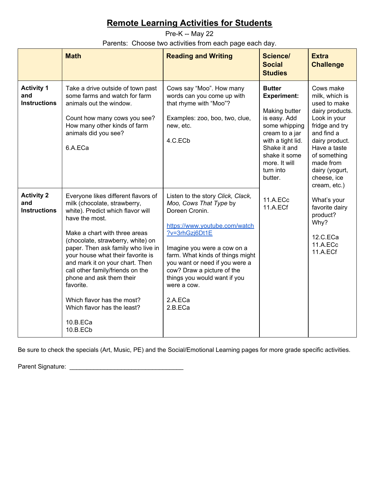<span id="page-2-0"></span>Pre-K -- May 22

Parents: Choose two activities from each page each day.

|                                                 | <b>Math</b>                                                                                                                                                                                                                                                                                                                                                                                                                                                                      | <b>Reading and Writing</b>                                                                                                                                                                                                                                                                                                               | Science/<br><b>Social</b><br><b>Studies</b>                                                                                                                                                            | <b>Extra</b><br><b>Challenge</b>                                                                                                                                                                                               |
|-------------------------------------------------|----------------------------------------------------------------------------------------------------------------------------------------------------------------------------------------------------------------------------------------------------------------------------------------------------------------------------------------------------------------------------------------------------------------------------------------------------------------------------------|------------------------------------------------------------------------------------------------------------------------------------------------------------------------------------------------------------------------------------------------------------------------------------------------------------------------------------------|--------------------------------------------------------------------------------------------------------------------------------------------------------------------------------------------------------|--------------------------------------------------------------------------------------------------------------------------------------------------------------------------------------------------------------------------------|
| <b>Activity 1</b><br>and<br><b>Instructions</b> | Take a drive outside of town past<br>some farms and watch for farm<br>animals out the window.<br>Count how many cows you see?<br>How many other kinds of farm<br>animals did you see?<br>6.A.ECa                                                                                                                                                                                                                                                                                 | Cows say "Moo". How many<br>words can you come up with<br>that rhyme with "Moo"?<br>Examples: zoo, boo, two, clue,<br>new, etc.<br>4.C.ECb                                                                                                                                                                                               | <b>Butter</b><br><b>Experiment:</b><br>Making butter<br>is easy. Add<br>some whipping<br>cream to a jar<br>with a tight lid.<br>Shake it and<br>shake it some<br>more. It will<br>turn into<br>butter. | Cows make<br>milk, which is<br>used to make<br>dairy products.<br>Look in your<br>fridge and try<br>and find a<br>dairy product.<br>Have a taste<br>of something<br>made from<br>dairy (yogurt,<br>cheese, ice<br>cream, etc.) |
| <b>Activity 2</b><br>and<br><b>Instructions</b> | Everyone likes different flavors of<br>milk (chocolate, strawberry,<br>white). Predict which flavor will<br>have the most.<br>Make a chart with three areas<br>(chocolate, strawberry, white) on<br>paper. Then ask family who live in<br>your house what their favorite is<br>and mark it on your chart. Then<br>call other family/friends on the<br>phone and ask them their<br>favorite.<br>Which flavor has the most?<br>Which flavor has the least?<br>10.B.ECa<br>10.B.ECb | Listen to the story Click, Clack,<br>Moo, Cows That Type by<br>Doreen Cronin.<br>https://www.youtube.com/watch<br>?v=3rhGzj6Dt1E<br>Imagine you were a cow on a<br>farm. What kinds of things might<br>you want or need if you were a<br>cow? Draw a picture of the<br>things you would want if you<br>were a cow.<br>2.A.ECa<br>2.B.ECa | 11.A.ECc<br>11.A.ECf                                                                                                                                                                                   | What's your<br>favorite dairy<br>product?<br>Why?<br>12.C.ECa<br>11.A.ECc<br>11.A.ECf                                                                                                                                          |

Be sure to check the specials (Art, Music, PE) and the Social/Emotional Learning pages for more grade specific activities.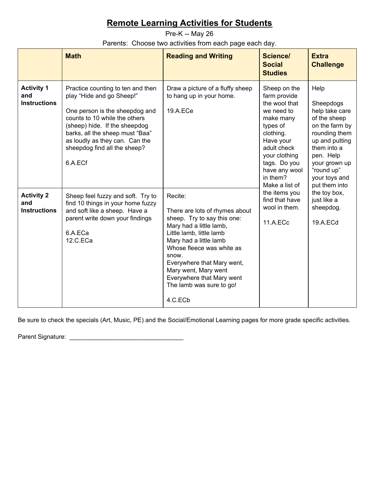<span id="page-3-0"></span>Pre-K -- May 26

Parents: Choose two activities from each page each day.

|                                                 | <b>Math</b>                                                                                                                                                                                                                                                                        | <b>Reading and Writing</b>                                                                                                                                                                                                                                                                                                | <b>Science/</b><br><b>Social</b><br><b>Studies</b>                                                                                                                                          | <b>Extra</b><br><b>Challenge</b>                                                                                                                                                                      |
|-------------------------------------------------|------------------------------------------------------------------------------------------------------------------------------------------------------------------------------------------------------------------------------------------------------------------------------------|---------------------------------------------------------------------------------------------------------------------------------------------------------------------------------------------------------------------------------------------------------------------------------------------------------------------------|---------------------------------------------------------------------------------------------------------------------------------------------------------------------------------------------|-------------------------------------------------------------------------------------------------------------------------------------------------------------------------------------------------------|
| <b>Activity 1</b><br>and<br><b>Instructions</b> | Practice counting to ten and then<br>play "Hide and go Sheep!"<br>One person is the sheepdog and<br>counts to 10 while the others<br>(sheep) hide. If the sheepdog<br>barks, all the sheep must "Baa"<br>as loudly as they can. Can the<br>sheepdog find all the sheep?<br>6.A.ECf | Draw a picture of a fluffy sheep<br>to hang up in your home.<br>19.A.ECe                                                                                                                                                                                                                                                  | Sheep on the<br>farm provide<br>the wool that<br>we need to<br>make many<br>types of<br>clothing.<br>Have your<br>adult check<br>your clothing<br>tags. Do you<br>have any wool<br>in them? | Help<br>Sheepdogs<br>help take care<br>of the sheep<br>on the farm by<br>rounding them<br>up and putting<br>them into a<br>pen. Help<br>your grown up<br>"round up"<br>your toys and<br>put them into |
| <b>Activity 2</b><br>and<br><b>Instructions</b> | Sheep feel fuzzy and soft. Try to<br>find 10 things in your home fuzzy<br>and soft like a sheep. Have a<br>parent write down your findings<br>6.A.ECa<br>12.C.ECa                                                                                                                  | Recite:<br>There are lots of rhymes about<br>sheep. Try to say this one:<br>Mary had a little lamb,<br>Little lamb, little lamb<br>Mary had a little lamb<br>Whose fleece was white as<br>snow.<br>Everywhere that Mary went,<br>Mary went, Mary went<br>Everywhere that Mary went<br>The lamb was sure to go!<br>4.C.ECb | Make a list of<br>the items you<br>find that have<br>wool in them.<br>11.A.ECc                                                                                                              | the toy box,<br>just like a<br>sheepdog.<br>19.A.ECd                                                                                                                                                  |

Be sure to check the specials (Art, Music, PE) and the Social/Emotional Learning pages for more grade specific activities.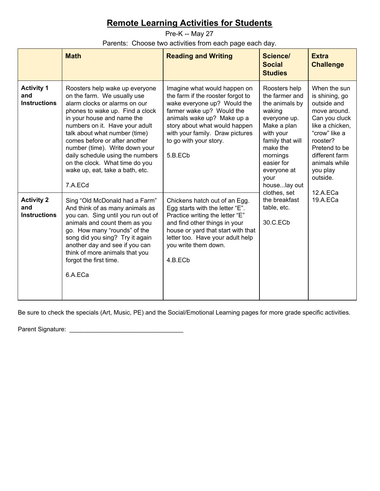<span id="page-4-0"></span>Pre-K -- May 27

Parents: Choose two activities from each page each day.

|                                                 | <b>Math</b>                                                                                                                                                                                                                                                                                                                                                                                                               | <b>Reading and Writing</b>                                                                                                                                                                                                                                           | <b>Science/</b><br><b>Social</b><br><b>Studies</b>                                                                                                                                                       | <b>Extra</b><br><b>Challenge</b>                                                                                                                                                                           |
|-------------------------------------------------|---------------------------------------------------------------------------------------------------------------------------------------------------------------------------------------------------------------------------------------------------------------------------------------------------------------------------------------------------------------------------------------------------------------------------|----------------------------------------------------------------------------------------------------------------------------------------------------------------------------------------------------------------------------------------------------------------------|----------------------------------------------------------------------------------------------------------------------------------------------------------------------------------------------------------|------------------------------------------------------------------------------------------------------------------------------------------------------------------------------------------------------------|
| <b>Activity 1</b><br>and<br><b>Instructions</b> | Roosters help wake up everyone<br>on the farm. We usually use<br>alarm clocks or alarms on our<br>phones to wake up. Find a clock<br>in your house and name the<br>numbers on it. Have your adult<br>talk about what number (time)<br>comes before or after another<br>number (time). Write down your<br>daily schedule using the numbers<br>on the clock. What time do you<br>wake up, eat, take a bath, etc.<br>7.A.ECd | Imagine what would happen on<br>the farm if the rooster forgot to<br>wake everyone up? Would the<br>farmer wake up? Would the<br>animals wake up? Make up a<br>story about what would happen<br>with your family. Draw pictures<br>to go with your story.<br>5.B.ECb | Roosters help<br>the farmer and<br>the animals by<br>waking<br>everyone up.<br>Make a plan<br>with your<br>family that will<br>make the<br>mornings<br>easier for<br>everyone at<br>your<br>houselay out | When the sun<br>is shining, go<br>outside and<br>move around.<br>Can you cluck<br>like a chicken,<br>"crow" like a<br>rooster?<br>Pretend to be<br>different farm<br>animals while<br>you play<br>outside. |
| <b>Activity 2</b><br>and<br><b>Instructions</b> | Sing "Old McDonald had a Farm"<br>And think of as many animals as<br>you can. Sing until you run out of<br>animals and count them as you<br>go. How many "rounds" of the<br>song did you sing? Try it again<br>another day and see if you can<br>think of more animals that you<br>forgot the first time.<br>6.A.ECa                                                                                                      | Chickens hatch out of an Egg.<br>Egg starts with the letter "E".<br>Practice writing the letter "E"<br>and find other things in your<br>house or yard that start with that<br>letter too. Have your adult help<br>you write them down.<br>4.B.ECb                    | clothes, set<br>the breakfast<br>table, etc.<br>30.C.ECb                                                                                                                                                 | 12.A.ECa<br>19.A.ECa                                                                                                                                                                                       |

Be sure to check the specials (Art, Music, PE) and the Social/Emotional Learning pages for more grade specific activities.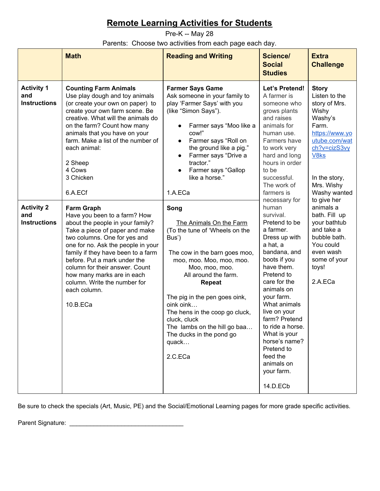<span id="page-5-0"></span>Pre-K -- May 28 Parents: Choose two activities from each page each day.

|                                                                             | <b>Math</b>                                                                                                                                                                                                                                                                                                                                                                                        | <b>Reading and Writing</b>                                                                                                                                                                                                                                                                                                                                                                                                                                                                                                                                                                                                                                         | <b>Science/</b><br><b>Social</b><br><b>Studies</b>                                                                                                                                                                                                                                                                                      | <b>Extra</b><br><b>Challenge</b>                                                                         |
|-----------------------------------------------------------------------------|----------------------------------------------------------------------------------------------------------------------------------------------------------------------------------------------------------------------------------------------------------------------------------------------------------------------------------------------------------------------------------------------------|--------------------------------------------------------------------------------------------------------------------------------------------------------------------------------------------------------------------------------------------------------------------------------------------------------------------------------------------------------------------------------------------------------------------------------------------------------------------------------------------------------------------------------------------------------------------------------------------------------------------------------------------------------------------|-----------------------------------------------------------------------------------------------------------------------------------------------------------------------------------------------------------------------------------------------------------------------------------------------------------------------------------------|----------------------------------------------------------------------------------------------------------|
| <b>Activity 1</b><br>and<br><b>Instructions</b><br><b>Activity 2</b><br>and | <b>Counting Farm Animals</b><br>Use play dough and toy animals<br>(or create your own on paper) to<br>create your own farm scene. Be<br>creative. What will the animals do<br>on the farm? Count how many<br>animals that you have on your<br>farm. Make a list of the number of<br>each animal:<br>2 Sheep<br>4 Cows<br>3 Chicken<br>6.A.ECf<br><b>Farm Graph</b><br>Have you been to a farm? How | Let's Pretend!<br><b>Farmer Says Game</b><br><b>Story</b><br>Ask someone in your family to<br>A farmer is<br>play 'Farmer Says' with you<br>someone who<br>(like "Simon Says").<br>grows plants<br>Wishy<br>and raises<br>Farm.<br>Farmer says "Moo like a<br>animals for<br>cow!"<br>human use.<br>Farmer says "Roll on<br>Farmers have<br>$\bullet$<br>the ground like a pig."<br>to work very<br>Farmer says "Drive a<br>hard and long<br>V8ks<br>$\bullet$<br>tractor."<br>hours in order<br>Farmer says "Gallop<br>to be<br>$\bullet$<br>like a horse."<br>successful.<br>The work of<br>1.A.ECa<br>farmers is<br>necessary for<br>human<br>Song<br>survival. | Listen to the<br>story of Mrs.<br>Washy's<br>https://www.yo<br>utube.com/wat<br>ch?v=cizS3vy<br>In the story,<br>Mrs. Wishy<br>Washy wanted<br>to give her<br>animals a<br>bath. Fill up                                                                                                                                                |                                                                                                          |
| <b>Instructions</b>                                                         | about the people in your family?<br>Take a piece of paper and make<br>two columns. One for yes and<br>one for no. Ask the people in your<br>family if they have been to a farm<br>before. Put a mark under the<br>column for their answer. Count<br>how many marks are in each<br>column. Write the number for<br>each column.<br>10.B.ECa                                                         | The Animals On the Farm<br>(To the tune of 'Wheels on the<br>Bus')<br>The cow in the barn goes moo,<br>moo, moo. Moo, moo, moo.<br>Moo, moo, moo.<br>All around the farm.<br><b>Repeat</b><br>The pig in the pen goes oink,<br>oink oink<br>The hens in the coop go cluck,<br>cluck, cluck<br>The lambs on the hill go baa<br>The ducks in the pond go<br>quack<br>2.C.ECa                                                                                                                                                                                                                                                                                         | Pretend to be<br>a farmer.<br>Dress up with<br>a hat, a<br>bandana, and<br>boots if you<br>have them.<br>Pretend to<br>care for the<br>animals on<br>your farm.<br>What animals<br>live on your<br>farm? Pretend<br>to ride a horse.<br>What is your<br>horse's name?<br>Pretend to<br>feed the<br>animals on<br>your farm.<br>14.D.ECb | your bathtub<br>and take a<br>bubble bath.<br>You could<br>even wash<br>some of your<br>toys!<br>2.A.ECa |

Be sure to check the specials (Art, Music, PE) and the Social/Emotional Learning pages for more grade specific activities.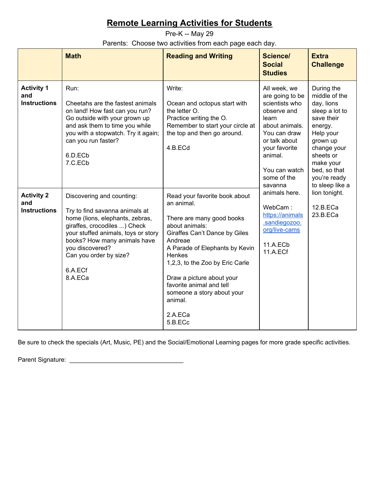<span id="page-6-0"></span>Pre-K -- May 29

Parents: Choose two activities from each page each day.

|                                                 | <b>Math</b>                                                                                                                                                                                                                                                              | <b>Reading and Writing</b>                                                                                                                                                                                                                                                                                                                    | <b>Science/</b><br><b>Social</b><br><b>Studies</b>                                                                                                                                       | <b>Extra</b><br><b>Challenge</b>                                                                                                                                                                          |
|-------------------------------------------------|--------------------------------------------------------------------------------------------------------------------------------------------------------------------------------------------------------------------------------------------------------------------------|-----------------------------------------------------------------------------------------------------------------------------------------------------------------------------------------------------------------------------------------------------------------------------------------------------------------------------------------------|------------------------------------------------------------------------------------------------------------------------------------------------------------------------------------------|-----------------------------------------------------------------------------------------------------------------------------------------------------------------------------------------------------------|
| <b>Activity 1</b><br>and<br><b>Instructions</b> | Run:<br>Cheetahs are the fastest animals<br>on land! How fast can you run?<br>Go outside with your grown up<br>and ask them to time you while<br>you with a stopwatch. Try it again;<br>can you run faster?<br>6.D.ECb<br>7.C.ECb                                        | Write:<br>Ocean and octopus start with<br>the letter O.<br>Practice writing the O.<br>Remember to start your circle at<br>the top and then go around.<br>4.B.ECd                                                                                                                                                                              | All week, we<br>are going to be<br>scientists who<br>observe and<br>learn<br>about animals.<br>You can draw<br>or talk about<br>your favorite<br>animal.<br>You can watch<br>some of the | During the<br>middle of the<br>day, lions<br>sleep a lot to<br>save their<br>energy.<br>Help your<br>grown up<br>change your<br>sheets or<br>make your<br>bed, so that<br>you're ready<br>to sleep like a |
| <b>Activity 2</b><br>and<br><b>Instructions</b> | Discovering and counting:<br>Try to find savanna animals at<br>home (lions, elephants, zebras,<br>giraffes, crocodiles ) Check<br>your stuffed animals, toys or story<br>books? How many animals have<br>you discovered?<br>Can you order by size?<br>6.A.ECf<br>8.A.ECa | Read your favorite book about<br>an animal.<br>There are many good books<br>about animals:<br>Giraffes Can't Dance by Giles<br>Andreae<br>A Parade of Elephants by Kevin<br>Henkes<br>1,2,3, to the Zoo by Eric Carle<br>Draw a picture about your<br>favorite animal and tell<br>someone a story about your<br>animal.<br>2.A.ECa<br>5.B.ECc | savanna<br>animals here.<br>WebCam:<br>https://animals<br>.sandiegozoo.<br>org/live-cams<br>11.A.ECb<br>11.A.ECf                                                                         | lion tonight.<br>12.B.ECa<br>23.B.ECa                                                                                                                                                                     |

Be sure to check the specials (Art, Music, PE) and the Social/Emotional Learning pages for more grade specific activities.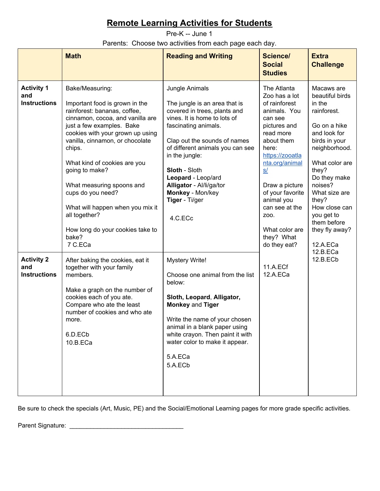<span id="page-7-0"></span>Pre-K -- June 1

Parents: Choose two activities from each page each day.

|                                                 | <b>Math</b>                                                                                                                                                                                                                                                                                                                                                                                                                                          | <b>Reading and Writing</b>                                                                                                                                                                                                                                                                                                                               | <b>Science/</b><br><b>Social</b><br><b>Studies</b>                                                                                                                                                                                                                                                    | <b>Extra</b><br><b>Challenge</b>                                                                                                                                                                                                                                                     |
|-------------------------------------------------|------------------------------------------------------------------------------------------------------------------------------------------------------------------------------------------------------------------------------------------------------------------------------------------------------------------------------------------------------------------------------------------------------------------------------------------------------|----------------------------------------------------------------------------------------------------------------------------------------------------------------------------------------------------------------------------------------------------------------------------------------------------------------------------------------------------------|-------------------------------------------------------------------------------------------------------------------------------------------------------------------------------------------------------------------------------------------------------------------------------------------------------|--------------------------------------------------------------------------------------------------------------------------------------------------------------------------------------------------------------------------------------------------------------------------------------|
| <b>Activity 1</b><br>and<br><b>Instructions</b> | Bake/Measuring:<br>Important food is grown in the<br>rainforest: bananas, coffee,<br>cinnamon, cocoa, and vanilla are<br>just a few examples. Bake<br>cookies with your grown up using<br>vanilla, cinnamon, or chocolate<br>chips.<br>What kind of cookies are you<br>going to make?<br>What measuring spoons and<br>cups do you need?<br>What will happen when you mix it<br>all together?<br>How long do your cookies take to<br>bake?<br>7 C.ECa | Jungle Animals<br>The jungle is an area that is<br>covered in trees, plants and<br>vines. It is home to lots of<br>fascinating animals.<br>Clap out the sounds of names<br>of different animals you can see<br>in the jungle:<br><b>Sloth - Sloth</b><br>Leopard - Leop/ard<br>Alligator - Al/li/ga/tor<br>Monkey - Mon/key<br>Tiger - Ti/ger<br>4.C.ECc | The Atlanta<br>Zoo has a lot<br>of rainforest<br>animals. You<br>can see<br>pictures and<br>read more<br>about them<br>here:<br>https://zooatla<br>nta.org/animal<br>S/<br>Draw a picture<br>of your favorite<br>animal you<br>can see at the<br>Z00.<br>What color are<br>they? What<br>do they eat? | Macaws are<br>beautiful birds<br>in the<br>rainforest.<br>Go on a hike<br>and look for<br>birds in your<br>neighborhood.<br>What color are<br>they?<br>Do they make<br>noises?<br>What size are<br>they?<br>How close can<br>you get to<br>them before<br>they fly away?<br>12.A.ECa |
| <b>Activity 2</b><br>and<br><b>Instructions</b> | After baking the cookies, eat it<br>together with your family<br>members.<br>Make a graph on the number of<br>cookies each of you ate.<br>Compare who ate the least<br>number of cookies and who ate<br>more.<br>6.D.ECb<br>10.B.ECa                                                                                                                                                                                                                 | <b>Mystery Write!</b><br>Choose one animal from the list<br>below:<br>Sloth, Leopard, Alligator,<br><b>Monkey and Tiger</b><br>Write the name of your chosen<br>animal in a blank paper using<br>white crayon. Then paint it with<br>water color to make it appear.<br>5.A.ECa<br>5.A.ECb                                                                | 11.A.ECf<br>12.A.ECa                                                                                                                                                                                                                                                                                  | 12.B.ECa<br>12.B.ECb                                                                                                                                                                                                                                                                 |

Be sure to check the specials (Art, Music, PE) and the Social/Emotional Learning pages for more grade specific activities.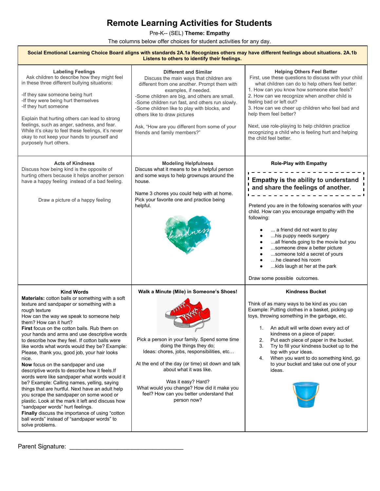Pre-K-- (SEL) **Theme: Empathy**

The columns below offer choices for student activities for any day.

| Social Emotional Learning Choice Board aligns with standards 2A.1a Recognizes others may have different feelings about situations. 2A.1b<br>Listens to others to identify their feelings.                                                                                                                                                                                                                                                                                                                                                                                                                                                                                                                                                                                                                                                                                                                                                                                     |                                                                                                                                                                                                                                                                                                                                                                                                                      |                                                                                                                                                                                                                                                                                                                                                                                                                                                                                                     |  |
|-------------------------------------------------------------------------------------------------------------------------------------------------------------------------------------------------------------------------------------------------------------------------------------------------------------------------------------------------------------------------------------------------------------------------------------------------------------------------------------------------------------------------------------------------------------------------------------------------------------------------------------------------------------------------------------------------------------------------------------------------------------------------------------------------------------------------------------------------------------------------------------------------------------------------------------------------------------------------------|----------------------------------------------------------------------------------------------------------------------------------------------------------------------------------------------------------------------------------------------------------------------------------------------------------------------------------------------------------------------------------------------------------------------|-----------------------------------------------------------------------------------------------------------------------------------------------------------------------------------------------------------------------------------------------------------------------------------------------------------------------------------------------------------------------------------------------------------------------------------------------------------------------------------------------------|--|
| <b>Labeling Feelings</b><br>Ask children to describe how they might feel<br>in these three different bullying situations:<br>-If they saw someone being hurt<br>-If they were being hurt themselves<br>-If they hurt someone<br>Explain that hurting others can lead to strong<br>feelings, such as anger, sadness, and fear.<br>While it's okay to feel these feelings, it's never<br>okay to not keep your hands to yourself and<br>purposely hurt others.                                                                                                                                                                                                                                                                                                                                                                                                                                                                                                                  | <b>Different and Similar</b><br>Discuss the main ways that children are<br>different from one another. Prompt them with<br>examples, if needed.<br>-Some children are big, and others are small.<br>-Some children run fast, and others run slowly.<br>-Some children like to play with blocks, and<br>others like to draw pictures<br>Ask, "How are you different from some of your<br>friends and family members?" | <b>Helping Others Feel Better</b><br>First, use these questions to discuss with your child<br>what children can do to help others feel better:<br>1. How can you know how someone else feels?<br>2. How can we recognize when another child is<br>feeling bad or left out?<br>3. How can we cheer up children who feel bad and<br>help them feel better?<br>Next, use role-playing to help children practice<br>recognizing a child who is feeling hurt and helping<br>the child feel better.       |  |
| <b>Acts of Kindness</b><br>Discuss how being kind is the opposite of<br>hurting others because it helps another person<br>have a happy feeling instead of a bad feeling.<br>Draw a picture of a happy feeling                                                                                                                                                                                                                                                                                                                                                                                                                                                                                                                                                                                                                                                                                                                                                                 | <b>Modeling Helpfulness</b><br>Discuss what it means to be a helpful person<br>and some ways to help grownups around the<br>house.<br>Name 3 chores you could help with at home.<br>Pick your favorite one and practice being<br>helpful.<br>eindnes                                                                                                                                                                 | <b>Role-Play with Empathy</b><br>Empathy is the ability to understand<br>and share the feelings of another.<br>Pretend you are in the following scenarios with your<br>child. How can you encourage empathy with the<br>following:<br>a friend did not want to play<br>his puppy needs surgery<br>all friends going to the movie but you<br>someone drew a better picture<br>someone told a secret of yours<br>he cleaned his room<br>kids laugh at her at the park<br>Draw some possible outcomes. |  |
| <b>Kind Words</b><br>Materials: cotton balls or something with a soft<br>texture and sandpaper or something with a<br>rough texture<br>How can the way we speak to someone help<br>them? How can it hurt?<br>First focus on the cotton balls. Rub them on<br>your hands and arms and use descriptive words<br>to describe how they feel. If cotton balls were<br>like words what words would they be? Example:<br>Please, thank you, good job, your hair looks<br>nice.<br>Now focus on the sandpaper and use<br>descriptive words to describe how it feels. If<br>words were like sandpaper what words would it<br>be? Example: Calling names, yelling, saying<br>things that are hurtful. Next have an adult help<br>you scrape the sandpaper on some wood or<br>plastic. Look at the mark it left and discuss how<br>"sandpaper words" hurt feelings.<br>Finally discuss the importance of using "cotton<br>ball words" instead of "sandpaper words" to<br>solve problems. | Walk a Minute (Mile) in Someone's Shoes!<br>Pick a person in your family. Spend some time<br>doing the things they do;<br>Ideas: chores, jobs, responsibilities, etc<br>At the end of the day (or time) sit down and talk<br>about what it was like.<br>Was it easy? Hard?<br>What would you change? How did it make you<br>feel? How can you better understand that<br>person now?                                  | <b>Kindness Bucket</b><br>Think of as many ways to be kind as you can<br>Example: Putting clothes in a basket, picking up<br>toys, throwing something in the garbage, etc.<br>An adult will write down every act of<br>1.<br>kindness on a piece of paper.<br>2.<br>Put each piece of paper in the bucket.<br>3.<br>Try to fill your kindness bucket up to the<br>top with your ideas.<br>When you want to do something kind, go<br>4.<br>to your bucket and take out one of your<br>ideas.         |  |